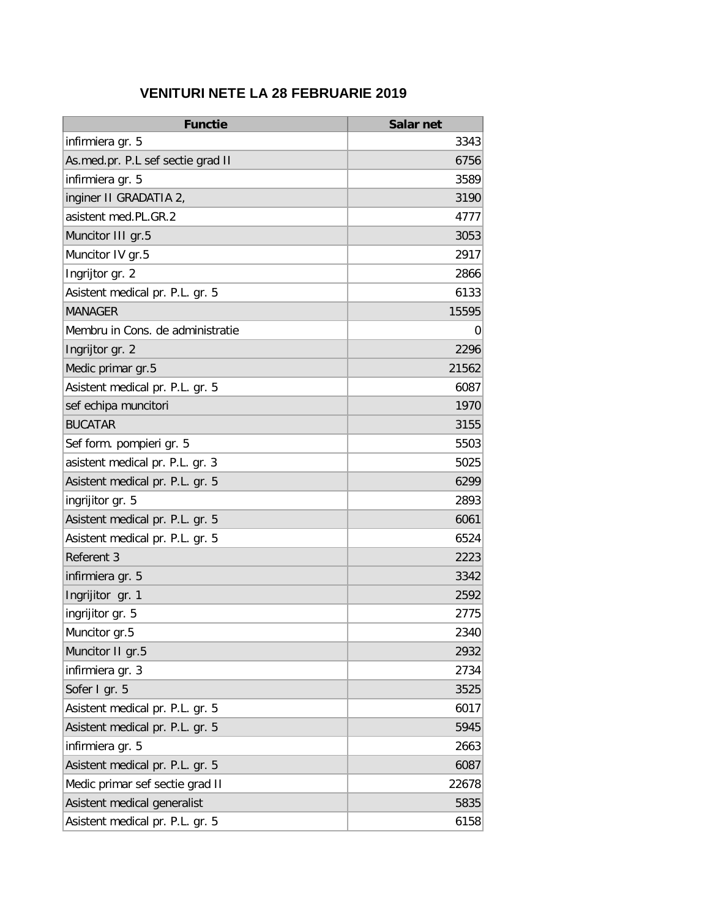## **VENITURI NETE LA 28 FEBRUARIE 2019**

| <b>Functie</b>                    | Salar net |
|-----------------------------------|-----------|
| infirmiera gr. 5                  | 3343      |
| As.med.pr. P.L sef sectie grad II | 6756      |
| infirmiera gr. 5                  | 3589      |
| inginer II GRADATIA 2,            | 3190      |
| asistent med.PL.GR.2              | 4777      |
| Muncitor III gr.5                 | 3053      |
| Muncitor IV gr.5                  | 2917      |
| Ingrijtor gr. 2                   | 2866      |
| Asistent medical pr. P.L. gr. 5   | 6133      |
| <b>MANAGER</b>                    | 15595     |
| Membru in Cons. de administratie  | 0         |
| Ingrijtor gr. 2                   | 2296      |
| Medic primar gr.5                 | 21562     |
| Asistent medical pr. P.L. gr. 5   | 6087      |
| sef echipa muncitori              | 1970      |
| <b>BUCATAR</b>                    | 3155      |
| Sef form. pompieri gr. 5          | 5503      |
| asistent medical pr. P.L. gr. 3   | 5025      |
| Asistent medical pr. P.L. gr. 5   | 6299      |
| ingrijitor gr. 5                  | 2893      |
| Asistent medical pr. P.L. gr. 5   | 6061      |
| Asistent medical pr. P.L. gr. 5   | 6524      |
| Referent 3                        | 2223      |
| infirmiera gr. 5                  | 3342      |
| Ingrijitor gr. 1                  | 2592      |
| ingrijitor gr. 5                  | 2775      |
| Muncitor gr.5                     | 2340      |
| Muncitor II gr.5                  | 2932      |
| infirmiera gr. 3                  | 2734      |
| Sofer I gr. 5                     | 3525      |
| Asistent medical pr. P.L. gr. 5   | 6017      |
| Asistent medical pr. P.L. gr. 5   | 5945      |
| infirmiera gr. 5                  | 2663      |
| Asistent medical pr. P.L. gr. 5   | 6087      |
| Medic primar sef sectie grad II   | 22678     |
| Asistent medical generalist       | 5835      |
| Asistent medical pr. P.L. gr. 5   | 6158      |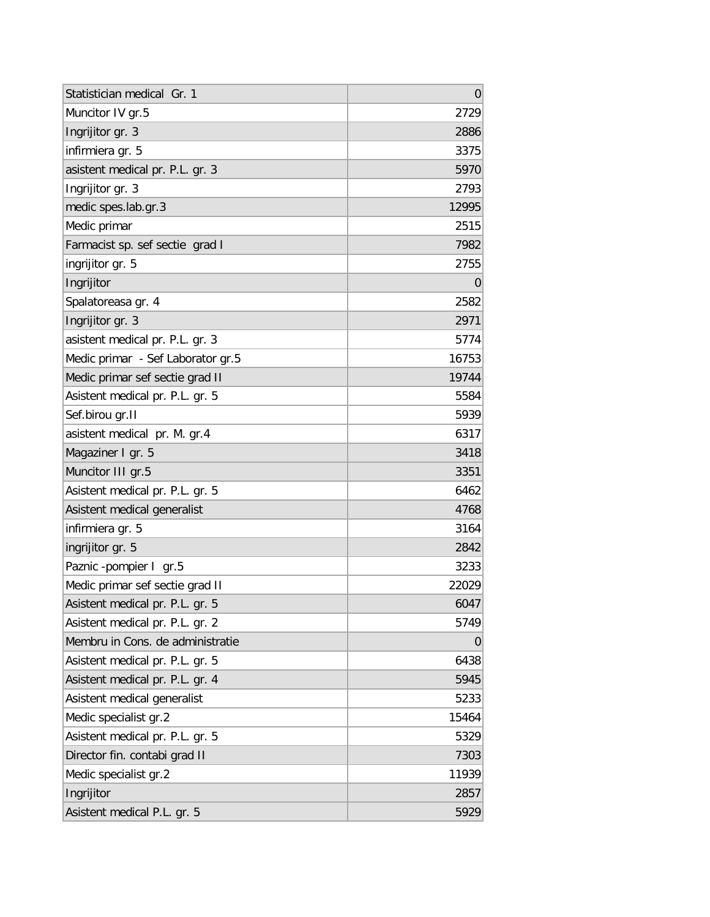| Statistician medical Gr. 1        | 0     |
|-----------------------------------|-------|
| Muncitor IV gr.5                  | 2729  |
| Ingrijitor gr. 3                  | 2886  |
| infirmiera gr. 5                  | 3375  |
| asistent medical pr. P.L. gr. 3   | 5970  |
| Ingrijitor gr. 3                  | 2793  |
| medic spes.lab.gr.3               | 12995 |
| Medic primar                      | 2515  |
| Farmacist sp. sef sectie grad I   | 7982  |
| ingrijitor gr. 5                  | 2755  |
| Ingrijitor                        | 0     |
| Spalatoreasa gr. 4                | 2582  |
| Ingrijitor gr. 3                  | 2971  |
| asistent medical pr. P.L. gr. 3   | 5774  |
| Medic primar - Sef Laborator gr.5 | 16753 |
| Medic primar sef sectie grad II   | 19744 |
| Asistent medical pr. P.L. gr. 5   | 5584  |
| Sef.birou gr.II                   | 5939  |
| asistent medical pr. M. gr.4      | 6317  |
| Magaziner I gr. 5                 | 3418  |
| Muncitor III gr.5                 | 3351  |
| Asistent medical pr. P.L. gr. 5   | 6462  |
| Asistent medical generalist       | 4768  |
| infirmiera gr. 5                  | 3164  |
| ingrijitor gr. 5                  | 2842  |
| Paznic -pompier I gr.5            | 3233  |
| Medic primar sef sectie grad II   | 22029 |
| Asistent medical pr. P.L. gr. 5   | 6047  |
| Asistent medical pr. P.L. gr. 2   | 5749  |
| Membru in Cons. de administratie  | O     |
| Asistent medical pr. P.L. gr. 5   | 6438  |
| Asistent medical pr. P.L. gr. 4   | 5945  |
| Asistent medical generalist       | 5233  |
| Medic specialist gr.2             | 15464 |
| Asistent medical pr. P.L. gr. 5   | 5329  |
| Director fin. contabi grad II     | 7303  |
| Medic specialist gr.2             | 11939 |
| Ingrijitor                        | 2857  |
| Asistent medical P.L. gr. 5       | 5929  |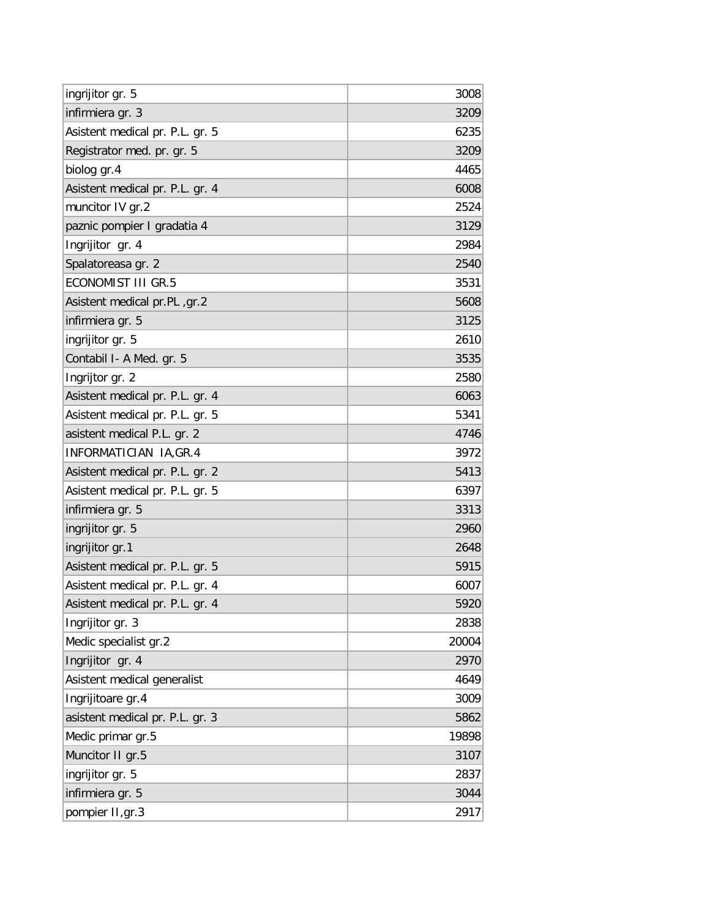| ingrijitor gr. 5                | 3008  |
|---------------------------------|-------|
| infirmiera gr. 3                | 3209  |
| Asistent medical pr. P.L. gr. 5 | 6235  |
| Registrator med. pr. gr. 5      | 3209  |
| biolog gr.4                     | 4465  |
| Asistent medical pr. P.L. gr. 4 | 6008  |
| muncitor IV gr.2                | 2524  |
| paznic pompier I gradatia 4     | 3129  |
| Ingrijitor gr. 4                | 2984  |
| Spalatoreasa gr. 2              | 2540  |
| <b>ECONOMIST III GR.5</b>       | 3531  |
| Asistent medical pr.PL, gr.2    | 5608  |
| infirmiera gr. 5                | 3125  |
| ingrijitor gr. 5                | 2610  |
| Contabil I- A Med. gr. 5        | 3535  |
| Ingrijtor gr. 2                 | 2580  |
| Asistent medical pr. P.L. gr. 4 | 6063  |
| Asistent medical pr. P.L. gr. 5 | 5341  |
| asistent medical P.L. gr. 2     | 4746  |
| INFORMATICIAN IA, GR.4          | 3972  |
| Asistent medical pr. P.L. gr. 2 | 5413  |
| Asistent medical pr. P.L. gr. 5 | 6397  |
| infirmiera gr. 5                | 3313  |
| ingrijitor gr. 5                | 2960  |
| ingrijitor gr.1                 | 2648  |
| Asistent medical pr. P.L. gr. 5 | 5915  |
| Asistent medical pr. P.L. gr. 4 | 6007  |
| Asistent medical pr. P.L. gr. 4 | 5920  |
| Ingrijitor gr. 3                | 2838  |
| Medic specialist gr.2           | 20004 |
| Ingrijitor gr. 4                | 2970  |
| Asistent medical generalist     | 4649  |
| Ingrijitoare gr.4               | 3009  |
| asistent medical pr. P.L. gr. 3 | 5862  |
| Medic primar gr.5               | 19898 |
| Muncitor II gr.5                | 3107  |
| ingrijitor gr. 5                | 2837  |
| infirmiera gr. 5                | 3044  |
| pompier II, gr.3                | 2917  |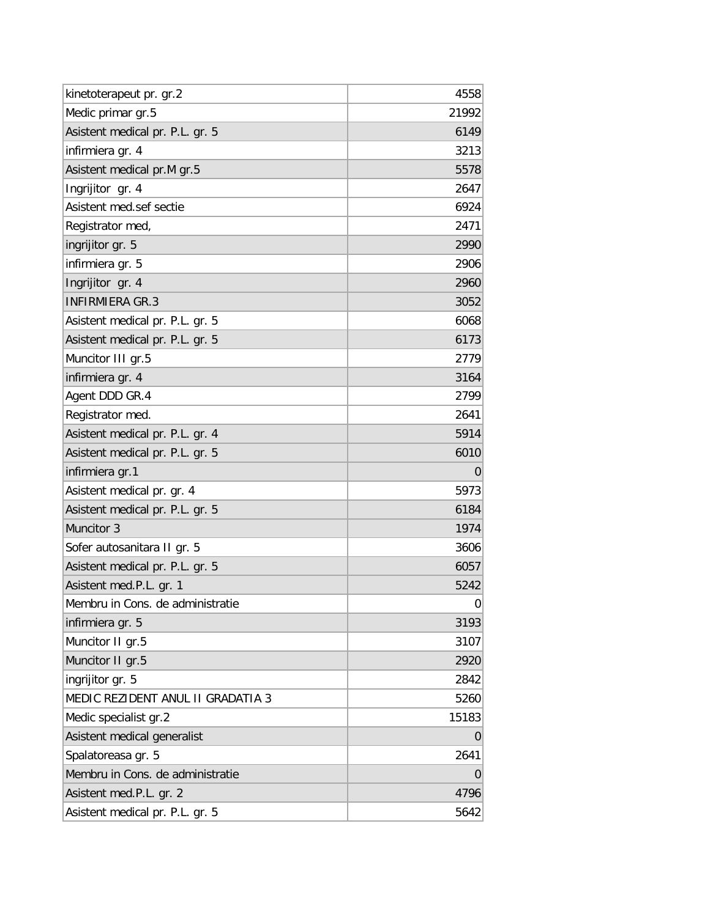| kinetoterapeut pr. gr.2           | 4558  |
|-----------------------------------|-------|
| Medic primar gr.5                 | 21992 |
| Asistent medical pr. P.L. gr. 5   | 6149  |
| infirmiera gr. 4                  | 3213  |
| Asistent medical pr.M gr.5        | 5578  |
| Ingrijitor gr. 4                  | 2647  |
| Asistent med.sef sectie           | 6924  |
| Registrator med,                  | 2471  |
| ingrijitor gr. 5                  | 2990  |
| infirmiera gr. 5                  | 2906  |
| Ingrijitor gr. 4                  | 2960  |
| <b>INFIRMIERA GR.3</b>            | 3052  |
| Asistent medical pr. P.L. gr. 5   | 6068  |
| Asistent medical pr. P.L. gr. 5   | 6173  |
| Muncitor III gr.5                 | 2779  |
| infirmiera gr. 4                  | 3164  |
| Agent DDD GR.4                    | 2799  |
| Registrator med.                  | 2641  |
| Asistent medical pr. P.L. gr. 4   | 5914  |
| Asistent medical pr. P.L. gr. 5   | 6010  |
| infirmiera gr.1                   | 0     |
| Asistent medical pr. gr. 4        | 5973  |
| Asistent medical pr. P.L. gr. 5   | 6184  |
| Muncitor 3                        | 1974  |
| Sofer autosanitara II gr. 5       | 3606  |
| Asistent medical pr. P.L. gr. 5   | 6057  |
| Asistent med.P.L. gr. 1           | 5242  |
| Membru in Cons. de administratie  | 0     |
| infirmiera gr. 5                  | 3193  |
| Muncitor II gr.5                  | 3107  |
| Muncitor II gr.5                  | 2920  |
| ingrijitor gr. 5                  | 2842  |
| MEDIC REZIDENT ANUL II GRADATIA 3 | 5260  |
| Medic specialist gr.2             | 15183 |
| Asistent medical generalist       | 0     |
| Spalatoreasa gr. 5                | 2641  |
| Membru in Cons. de administratie  | 0     |
| Asistent med.P.L. gr. 2           | 4796  |
| Asistent medical pr. P.L. gr. 5   | 5642  |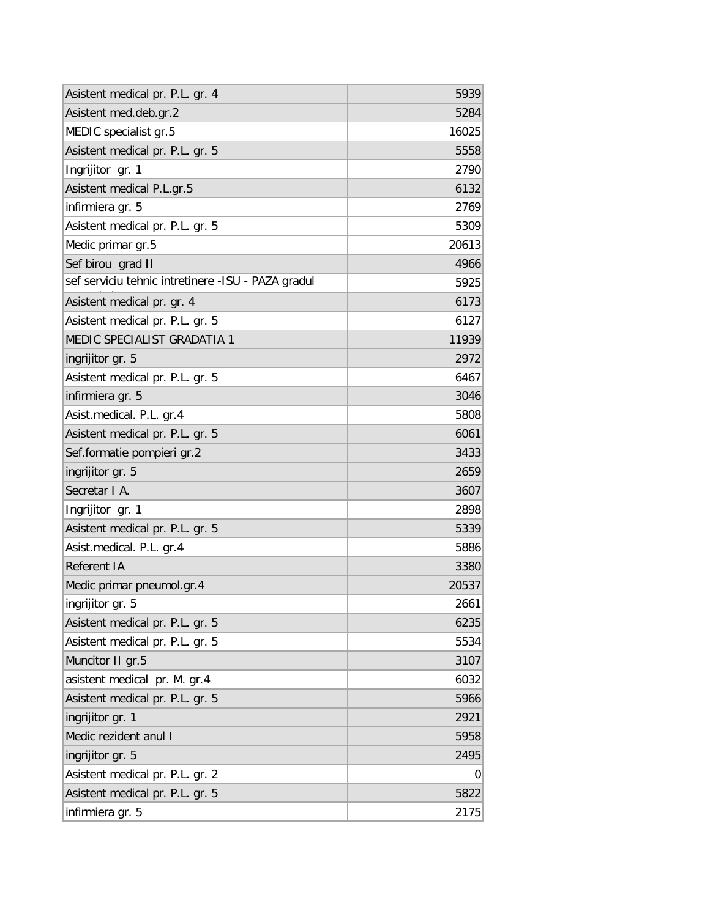| Asistent medical pr. P.L. gr. 4                     | 5939  |
|-----------------------------------------------------|-------|
| Asistent med.deb.gr.2                               | 5284  |
| MEDIC specialist gr.5                               | 16025 |
| Asistent medical pr. P.L. gr. 5                     | 5558  |
| Ingrijitor gr. 1                                    | 2790  |
| Asistent medical P.L.gr.5                           | 6132  |
| infirmiera gr. 5                                    | 2769  |
| Asistent medical pr. P.L. gr. 5                     | 5309  |
| Medic primar gr.5                                   | 20613 |
| Sef birou grad II                                   | 4966  |
| sef serviciu tehnic intretinere - ISU - PAZA gradul | 5925  |
| Asistent medical pr. gr. 4                          | 6173  |
| Asistent medical pr. P.L. gr. 5                     | 6127  |
| MEDIC SPECIALIST GRADATIA 1                         | 11939 |
| ingrijitor gr. 5                                    | 2972  |
| Asistent medical pr. P.L. gr. 5                     | 6467  |
| infirmiera gr. 5                                    | 3046  |
| Asist.medical. P.L. gr.4                            | 5808  |
| Asistent medical pr. P.L. gr. 5                     | 6061  |
| Sef.formatie pompieri gr.2                          | 3433  |
| ingrijitor gr. 5                                    | 2659  |
| Secretar I A.                                       | 3607  |
| Ingrijitor gr. 1                                    | 2898  |
| Asistent medical pr. P.L. gr. 5                     | 5339  |
| Asist.medical. P.L. gr.4                            | 5886  |
| Referent IA                                         | 3380  |
| Medic primar pneumol.gr.4                           | 20537 |
| ingrijitor gr. 5                                    | 2661  |
| Asistent medical pr. P.L. gr. 5                     | 6235  |
| Asistent medical pr. P.L. gr. 5                     | 5534  |
| Muncitor II gr.5                                    | 3107  |
| asistent medical pr. M. gr.4                        | 6032  |
| Asistent medical pr. P.L. gr. 5                     | 5966  |
| ingrijitor gr. 1                                    | 2921  |
| Medic rezident anul I                               | 5958  |
| ingrijitor gr. 5                                    | 2495  |
| Asistent medical pr. P.L. gr. 2                     | 0     |
| Asistent medical pr. P.L. gr. 5                     | 5822  |
| infirmiera gr. 5                                    | 2175  |